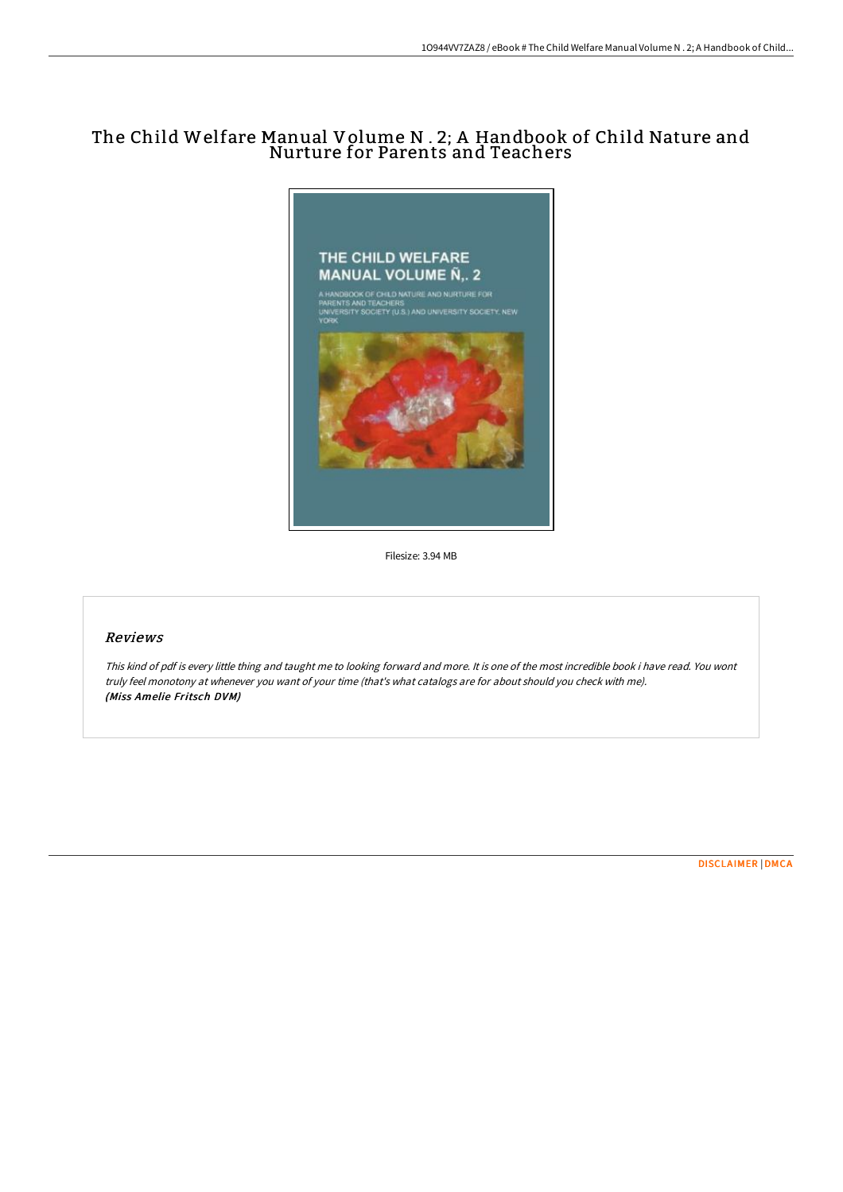# The Child Welfare Manual Volume N . 2; A Handbook of Child Nature and Nurture for Parents and Teachers



Filesize: 3.94 MB

## Reviews

This kind of pdf is every little thing and taught me to looking forward and more. It is one of the most incredible book i have read. You wont truly feel monotony at whenever you want of your time (that's what catalogs are for about should you check with me). (Miss Amelie Fritsch DVM)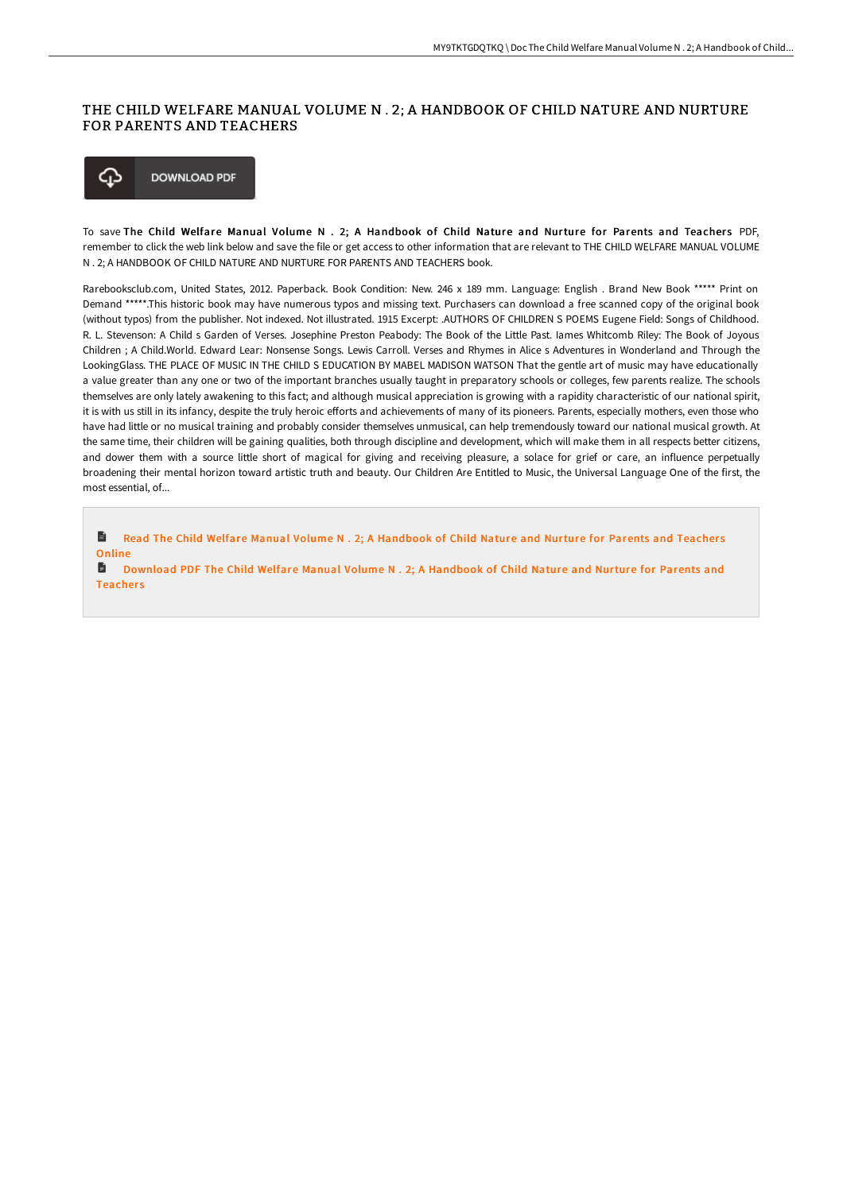### THE CHILD WELFARE MANUAL VOLUME N . 2; A HANDBOOK OF CHILD NATURE AND NURTURE FOR PARENTS AND TEACHERS



To save The Child Welfare Manual Volume N . 2; A Handbook of Child Nature and Nurture for Parents and Teachers PDF, remember to click the web link below and save the file or get access to other information that are relevant to THE CHILD WELFARE MANUAL VOLUME N . 2; A HANDBOOK OF CHILD NATURE AND NURTURE FOR PARENTS AND TEACHERS book.

Rarebooksclub.com, United States, 2012. Paperback. Book Condition: New. 246 x 189 mm. Language: English . Brand New Book \*\*\*\*\* Print on Demand \*\*\*\*\*.This historic book may have numerous typos and missing text. Purchasers can download a free scanned copy of the original book (without typos) from the publisher. Not indexed. Not illustrated. 1915 Excerpt: .AUTHORS OF CHILDREN S POEMS Eugene Field: Songs of Childhood. R. L. Stevenson: A Child s Garden of Verses. Josephine Preston Peabody: The Book of the Little Past. Iames Whitcomb Riley: The Book of Joyous Children ; A Child.World. Edward Lear: Nonsense Songs. Lewis Carroll. Verses and Rhymes in Alice s Adventures in Wonderland and Through the LookingGlass. THE PLACE OF MUSIC IN THE CHILD S EDUCATION BY MABEL MADISON WATSON That the gentle art of music may have educationally a value greater than any one or two of the important branches usually taught in preparatory schools or colleges, few parents realize. The schools themselves are only lately awakening to this fact; and although musical appreciation is growing with a rapidity characteristic of our national spirit, it is with us still in its infancy, despite the truly heroic efforts and achievements of many of its pioneers. Parents, especially mothers, even those who have had little or no musical training and probably consider themselves unmusical, can help tremendously toward our national musical growth. At the same time, their children will be gaining qualities, both through discipline and development, which will make them in all respects better citizens, and dower them with a source little short of magical for giving and receiving pleasure, a solace for grief or care, an influence perpetually broadening their mental horizon toward artistic truth and beauty. Our Children Are Entitled to Music, the Universal Language One of the first, the most essential, of...

 $\blacksquare$ Read The Child Welfare Manual Volume N . 2; A [Handbook](http://www.bookdirs.com/the-child-welfare-manual-volume-n-2-a-handbook-o.html) of Child Nature and Nurture for Parents and Teachers Online

 $\blacksquare$ Download PDF The Child Welfare Manual Volume N . 2; A [Handbook](http://www.bookdirs.com/the-child-welfare-manual-volume-n-2-a-handbook-o.html) of Child Nature and Nurture for Parents and **Teachers**